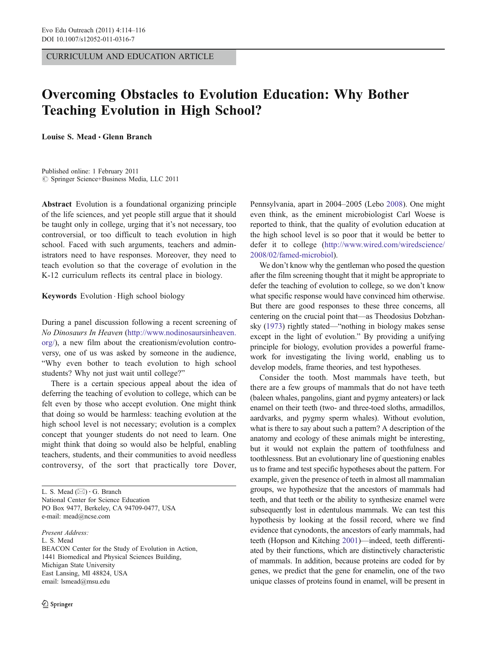CURRICULUM AND EDUCATION ARTICLE

## Overcoming Obstacles to Evolution Education: Why Bother Teaching Evolution in High School?

Louise S. Mead . Glenn Branch

Published online: 1 February 2011  $©$  Springer Science+Business Media, LLC 2011

Abstract Evolution is a foundational organizing principle of the life sciences, and yet people still argue that it should be taught only in college, urging that it's not necessary, too controversial, or too difficult to teach evolution in high school. Faced with such arguments, teachers and administrators need to have responses. Moreover, they need to teach evolution so that the coverage of evolution in the K-12 curriculum reflects its central place in biology.

Keywords Evolution . High school biology

During a panel discussion following a recent screening of No Dinosaurs In Heaven [\(http://www.nodinosaursinheaven.](http://www.nodinosaursinheaven.org/) [org/\)](http://www.nodinosaursinheaven.org/), a new film about the creationism/evolution controversy, one of us was asked by someone in the audience, "Why even bother to teach evolution to high school students? Why not just wait until college?"

There is a certain specious appeal about the idea of deferring the teaching of evolution to college, which can be felt even by those who accept evolution. One might think that doing so would be harmless: teaching evolution at the high school level is not necessary; evolution is a complex concept that younger students do not need to learn. One might think that doing so would also be helpful, enabling teachers, students, and their communities to avoid needless controversy, of the sort that practically tore Dover,

Present Address: L. S. Mead BEACON Center for the Study of Evolution in Action, 1441 Biomedical and Physical Sciences Building, Michigan State University East Lansing, MI 48824, USA email: lsmead@msu.edu

Pennsylvania, apart in 2004–2005 (Lebo [2008\)](#page-2-0). One might even think, as the eminent microbiologist Carl Woese is reported to think, that the quality of evolution education at the high school level is so poor that it would be better to defer it to college [\(http://www.wired.com/wiredscience/](http://www.wired.com/wiredscience/2008/02/famed-microbiol) [2008/02/famed-microbiol\)](http://www.wired.com/wiredscience/2008/02/famed-microbiol).

We don't know why the gentleman who posed the question after the film screening thought that it might be appropriate to defer the teaching of evolution to college, so we don't know what specific response would have convinced him otherwise. But there are good responses to these three concerns, all centering on the crucial point that—as Theodosius Dobzhansky ([1973](#page-2-0)) rightly stated—"nothing in biology makes sense except in the light of evolution." By providing a unifying principle for biology, evolution provides a powerful framework for investigating the living world, enabling us to develop models, frame theories, and test hypotheses.

Consider the tooth. Most mammals have teeth, but there are a few groups of mammals that do not have teeth (baleen whales, pangolins, giant and pygmy anteaters) or lack enamel on their teeth (two- and three-toed sloths, armadillos, aardvarks, and pygmy sperm whales). Without evolution, what is there to say about such a pattern? A description of the anatomy and ecology of these animals might be interesting, but it would not explain the pattern of toothfulness and toothlessness. But an evolutionary line of questioning enables us to frame and test specific hypotheses about the pattern. For example, given the presence of teeth in almost all mammalian groups, we hypothesize that the ancestors of mammals had teeth, and that teeth or the ability to synthesize enamel were subsequently lost in edentulous mammals. We can test this hypothesis by looking at the fossil record, where we find evidence that cynodonts, the ancestors of early mammals, had teeth (Hopson and Kitching [2001](#page-2-0))—indeed, teeth differentiated by their functions, which are distinctively characteristic of mammals. In addition, because proteins are coded for by genes, we predict that the gene for enamelin, one of the two unique classes of proteins found in enamel, will be present in

L. S. Mead  $(\boxtimes) \cdot G$ . Branch National Center for Science Education PO Box 9477, Berkeley, CA 94709-0477, USA e-mail: mead@ncse.com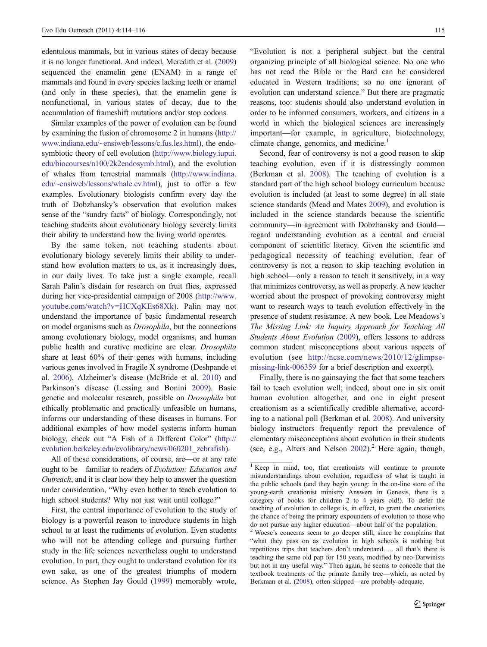edentulous mammals, but in various states of decay because it is no longer functional. And indeed, Meredith et al. [\(2009\)](#page-2-0) sequenced the enamelin gene (ENAM) in a range of mammals and found in every species lacking teeth or enamel (and only in these species), that the enamelin gene is nonfunctional, in various states of decay, due to the accumulation of frameshift mutations and/or stop codons.

Similar examples of the power of evolution can be found by examining the fusion of chromosome 2 in humans [\(http://](http://www.indiana.edu/~ensiweb/lessons/c.fus.les.html) [www.indiana.edu/~ensiweb/lessons/c.fus.les.html](http://www.indiana.edu/~ensiweb/lessons/c.fus.les.html)), the endosymbiotic theory of cell evolution ([http://www.biology.iupui.](http://www.biology.iupui.edu/biocourses/n100/2k2endosymb.html) [edu/biocourses/n100/2k2endosymb.html\)](http://www.biology.iupui.edu/biocourses/n100/2k2endosymb.html), and the evolution of whales from terrestrial mammals [\(http://www.indiana.](http://www.indiana.edu/~ensiweb/lessons/whale.ev.html) [edu/~ensiweb/lessons/whale.ev.html\)](http://www.indiana.edu/~ensiweb/lessons/whale.ev.html), just to offer a few examples. Evolutionary biologists confirm every day the truth of Dobzhansky's observation that evolution makes sense of the "sundry facts" of biology. Correspondingly, not teaching students about evolutionary biology severely limits their ability to understand how the living world operates.

By the same token, not teaching students about evolutionary biology severely limits their ability to understand how evolution matters to us, as it increasingly does, in our daily lives. To take just a single example, recall Sarah Palin's disdain for research on fruit flies, expressed during her vice-presidential campaign of 2008 [\(http://www.](http://www.youtube.com/watch?v=HCXqKEs68Xk) [youtube.com/watch?v=HCXqKEs68Xk\)](http://www.youtube.com/watch?v=HCXqKEs68Xk). Palin may not understand the importance of basic fundamental research on model organisms such as Drosophila, but the connections among evolutionary biology, model organisms, and human public health and curative medicine are clear. Drosophila share at least 60% of their genes with humans, including various genes involved in Fragile X syndrome (Deshpande et al. [2006\)](#page-2-0), Alzheimer's disease (McBride et al. [2010](#page-2-0)) and Parkinson's disease (Lessing and Bonini [2009\)](#page-2-0). Basic genetic and molecular research, possible on Drosophila but ethically problematic and practically unfeasible on humans, informs our understanding of these diseases in humans. For additional examples of how model systems inform human biology, check out "A Fish of a Different Color" [\(http://](http://evolution.berkeley.edu/evolibrary/news/060201_zebrafish) [evolution.berkeley.edu/evolibrary/news/060201\\_zebrafish\)](http://evolution.berkeley.edu/evolibrary/news/060201_zebrafish).

All of these considerations, of course, are—or at any rate ought to be—familiar to readers of Evolution: Education and Outreach, and it is clear how they help to answer the question under consideration, "Why even bother to teach evolution to high school students? Why not just wait until college?"

First, the central importance of evolution to the study of biology is a powerful reason to introduce students in high school to at least the rudiments of evolution. Even students who will not be attending college and pursuing further study in the life sciences nevertheless ought to understand evolution. In part, they ought to understand evolution for its own sake, as one of the greatest triumphs of modern science. As Stephen Jay Gould ([1999\)](#page-2-0) memorably wrote,

"Evolution is not a peripheral subject but the central organizing principle of all biological science. No one who has not read the Bible or the Bard can be considered educated in Western traditions; so no one ignorant of evolution can understand science." But there are pragmatic reasons, too: students should also understand evolution in order to be informed consumers, workers, and citizens in a world in which the biological sciences are increasingly important—for example, in agriculture, biotechnology, climate change, genomics, and medicine.<sup>1</sup>

Second, fear of controversy is not a good reason to skip teaching evolution, even if it is distressingly common (Berkman et al. [2008](#page-2-0)). The teaching of evolution is a standard part of the high school biology curriculum because evolution is included (at least to some degree) in all state science standards (Mead and Mates [2009](#page-2-0)), and evolution is included in the science standards because the scientific community—in agreement with Dobzhansky and Gould regard understanding evolution as a central and crucial component of scientific literacy. Given the scientific and pedagogical necessity of teaching evolution, fear of controversy is not a reason to skip teaching evolution in high school—only a reason to teach it sensitively, in a way that minimizes controversy, as well as properly. A new teacher worried about the prospect of provoking controversy might want to research ways to teach evolution effectively in the presence of student resistance. A new book, Lee Meadows's The Missing Link: An Inquiry Approach for Teaching All Students About Evolution ([2009](#page-2-0)), offers lessons to address common student misconceptions about various aspects of evolution (see [http://ncse.com/news/2010/12/glimpse](http://ncse.com/news/2010/12/glimpse-missing-link-006359)[missing-link-006359](http://ncse.com/news/2010/12/glimpse-missing-link-006359) for a brief description and excerpt).

Finally, there is no gainsaying the fact that some teachers fail to teach evolution well; indeed, about one in six omit human evolution altogether, and one in eight present creationism as a scientifically credible alternative, according to a national poll (Berkman et al. [2008](#page-2-0)). And university biology instructors frequently report the prevalence of elementary misconceptions about evolution in their students (see, e.g., Alters and Nelson  $2002$ ).<sup>2</sup> Here again, though,

<sup>&</sup>lt;sup>1</sup> Keep in mind, too, that creationists will continue to promote misunderstandings about evolution, regardless of what is taught in the public schools (and they begin young: in the on-line store of the young-earth creationist ministry Answers in Genesis, there is a category of books for children 2 to 4 years old!). To defer the teaching of evolution to college is, in effect, to grant the creationists the chance of being the primary expounders of evolution to those who do not pursue any higher education—about half of the population.

 $\alpha$ <sup>2</sup> Woese's concerns seem to go deeper still, since he complains that "what they pass on as evolution in high schools is nothing but repetitious trips that teachers don't understand. ... all that's there is teaching the same old pap for 150 years, modified by neo-Darwinists but not in any useful way." Then again, he seems to concede that the textbook treatments of the primate family tree—which, as noted by Berkman et al. [\(2008](#page-2-0)), often skipped—are probably adequate.